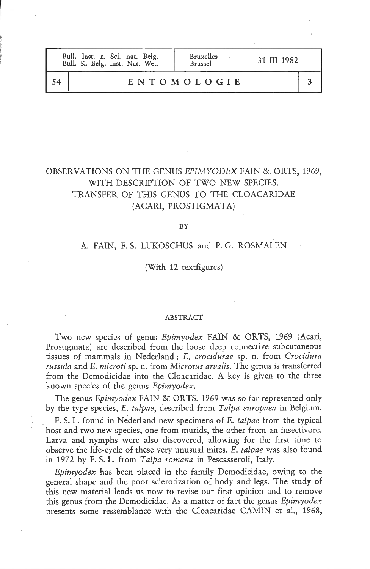| Bull. Inst. r. Sci. nat. Belg.<br>Bull. K. Belg. Inst. Nat. Wet. | <b>Bruxelles</b><br><b>Brussel</b> | 31-III-1982 |  |
|------------------------------------------------------------------|------------------------------------|-------------|--|
|                                                                  | ENTOMOLOGIE                        |             |  |

# OBSERVATIONS ON THE GENUS EP1MYODEX FAIN & ORTS, 1969, WITH DESCRIPTION OF TWO NEW SPECIES. TRANSFER OF THIS GENUS TO THE CLOACARIDAE (ACARI, PROSTIGMATA)

BY

# A. FAIN, F. S. LUKOSCHUS and P. G. ROSMALEN

(With 12 textfigures)

#### ABSTRACT

Two new species of genus Epimyodex FAIN & ORTS, 1969 (Acari, Prostigmata) are described from the loose deep connective subcutaneous tissues of mammals in Nederland : E. crocidurae sp. n. from Crocidura russula and E. microti sp. n. from Microtus arvalis. The genus is transferred from the Demodicidae into the Cloacaridae. A key is given to the three known species of the genus Epimyodex.

The genus Epimyodex FAIN & ORTS, 1969 was so far represented only by the type species, E. talpae, described from Talpa europaea in Belgium.

F. S. L. found in Nederland new specimens of E. talpae from the typical host and two new species, one from murids, the other from an insectivore. Larva and nymphs were also discovered, allowing for the first time to observe the life-cycle of these very unusual mites. E. talpae was also found in 1972 by F. S. L. from Talpa romana in Pescasseroli, Italy.

Epimyodex has been placed in the family Demodicidae, owing to the general shape and the poor sclerotization of body and legs. The study of this new material leads us now to revise our first opinion and to remove this genus from the Demodicidae. As a matter of fact the genus *Epimyodex* presents some ressemblance with the Cloacaridae CAMIN et al., 1968,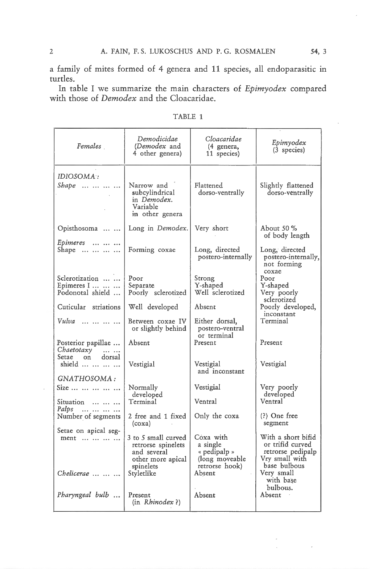a family of mites formed of 4 genera and 11 species, ail endoparasitic in turtles.

In table I we summarize the main characters of Epimyodex compared with those of Demodex and the Cloacaridae.

| Females                                                | Demodicidae<br><i>(Demodex</i> and<br>4 other genera)                                      | Cloacaridae<br>(4 genera,<br>11 species)                                  | Epimyodex<br>$(3$ species)                                                                    |  |
|--------------------------------------------------------|--------------------------------------------------------------------------------------------|---------------------------------------------------------------------------|-----------------------------------------------------------------------------------------------|--|
| IDIOSOMA :<br>$Shape$                                  | Narrow and<br>subcylindrical<br>in Demodex.<br>Variable<br>in other genera                 | Flattened<br>dorso-ventrally                                              | Slightly flattened<br>dorso-ventrally                                                         |  |
| Opisthosoma                                            | Long in Demodex.                                                                           | Very short                                                                | About 50 %<br>of body length                                                                  |  |
| Epimeres<br>Shape                                      | Forming coxae                                                                              | Long, directed<br>postero-internally                                      | Long, directed<br>postero-internally,<br>not forming<br>coxae                                 |  |
| Sclerotization                                         | Poor                                                                                       | Strong                                                                    | Poor                                                                                          |  |
| Epimeres I<br>Podonotal shield                         | Separate<br>Poorly sclerotized                                                             | Y-shaped<br>Well sclerotized                                              | Y-shaped<br>Very poorly                                                                       |  |
|                                                        |                                                                                            |                                                                           | sclerotized                                                                                   |  |
| Cuticular striations                                   | Well developed                                                                             | Absent                                                                    | Poorly developed,                                                                             |  |
| $Vulua$                                                | Between coxae IV<br>or slightly behind                                                     | Either dorsal,<br>postero-ventral<br>or terminal                          | inconstant<br>Terminal                                                                        |  |
| Posterior papillae<br>Chaetotaxy<br>$\sim$             | Absent                                                                                     | Present                                                                   | Present                                                                                       |  |
| Setae on<br>dorsal<br>$shield \dots \dots \dots \dots$ | Vestigial                                                                                  | Vestigial<br>and inconstant                                               | Vestigial                                                                                     |  |
| GNATHOSOMA:                                            |                                                                                            |                                                                           |                                                                                               |  |
| Size                                                   | Normally<br>developed                                                                      | Vestigial                                                                 | Very poorly<br>developed                                                                      |  |
| Situation                                              | Terminal                                                                                   | Ventral                                                                   | Ventral                                                                                       |  |
| Palps<br>Number of segments                            | 2 free and 1 fixed<br>(coxa)                                                               | Only the coxa                                                             | $(?)$ One free<br>segment                                                                     |  |
| Setae on apical seg-<br>ment                           | 3 to 5 small curved<br>retrorse spinelets<br>and several<br>other more apical<br>spinelets | Coxa with<br>a single<br>« pedipalp »<br>(long moveable<br>retrorse hook) | With a short bifid<br>or trifid curved<br>retrorse pedipalp<br>Vry small with<br>base bulbous |  |
| Chelicerae                                             | Styletlike                                                                                 | Absent                                                                    | Very small<br>with base<br>bulbous.                                                           |  |
| Pharyngeal bulb                                        | Present<br>(in Rhinodex?)                                                                  | Absent                                                                    | Absent                                                                                        |  |

TABLE <sup>1</sup>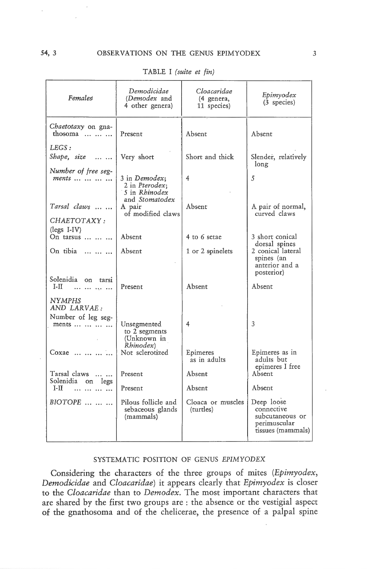| Females                                                     | Demodicidae<br>(Demodex and<br>4 other genera)       | Cloacaridae<br>(4 genera,<br>11 species) | Epimyodex<br>(3 species)                                                         |
|-------------------------------------------------------------|------------------------------------------------------|------------------------------------------|----------------------------------------------------------------------------------|
| Chaetotaxy on gna-<br>thosoma                               | Present                                              | Absent                                   | Absent                                                                           |
| LEGS:<br>Shape, size                                        | Very short                                           | Short and thick                          | Slender, relatively<br>long                                                      |
| Number of free seg-<br>$ments \ldots \ldots \ldots \ldots$  | 3 in Demodex;<br>2 in Pterodex;<br>5 in Rhinodex     | 4                                        | 5                                                                                |
| Tarsal claws                                                | and Stomatodex<br>A pair<br>of modified claws        | Absent                                   | A pair of normal,<br>curved claws                                                |
| CHAETOTAXY:<br>(legs I-IV)<br>On tarsus                     | Absent                                               | 4 to 6 setae                             | 3 short conical                                                                  |
| On tibia                                                    | Absent                                               | 1 or 2 spinelets                         | dorsal spines<br>2 conical lateral<br>spines (an<br>anterior and a<br>posterior) |
| Solenidia on tarsi<br>I-II.<br>المتواطن المتواطنة           | Present                                              | Absent                                   | Absent                                                                           |
| <b>NYMPHS</b><br>AND LARVAE:<br>Number of leg seg-<br>ments | Unsegmented<br>to 2 segments<br>(Unknown in          | 4                                        | 3                                                                                |
| Coxae                                                       | Rhinodex)<br>Not sclerotized                         | Epimeres<br>as in adults                 | Epimeres as in<br>adults but<br>epimeres I free                                  |
| Tarsal claws<br>Solenidia on legs                           | Present                                              | Absent                                   | Absent                                                                           |
| I-II                                                        | Present                                              | Absent                                   | Absent                                                                           |
| $BIOTOPE$                                                   | Pilous follicle and<br>sebaceous glands<br>(mammals) | Cloaca or muscles<br>(turtles)           | Deep loose<br>connective<br>subcutaneous or<br>perimuscular<br>tissues (mammals) |

TABLE I (suite et fin)

## SYSTEMATIC POSITION OF GENUS EPIMYODEX

Considering the characters of the three groups of mites (Epimyodex, Demodicidae and Cloacaridae) it appears clearly that Epimyodex is closer to the Cloacaridae than to Demodex. The most important characters that are shared by the first two groups are : the absence or the vestigial aspect of the gnathosoma and of the chelicerae, the presence of <sup>a</sup> palpai spine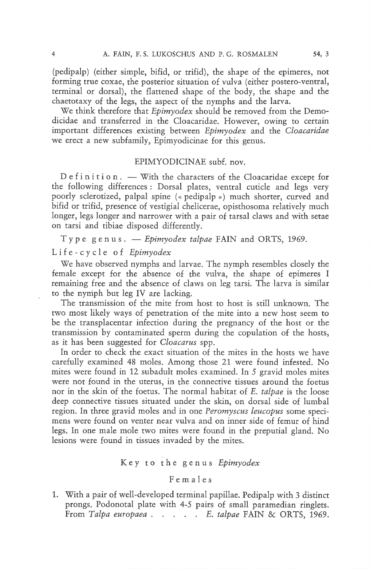(pedipalp) (either simple, bifid, or trifid), the shape of the epimeres, not forming true coxae, the posterior situation of vulva (either postero-ventral, terminal or dorsal), the flattened shape of the body, the shape and the chaetotaxy of the legs, the aspect of the nymphs and the larva.

We think therefore that *Epimyodex* should be removed from the Demodicidae and transferred in the Cloacaridae. However, owing to certain<br>important differences existing between Epimyodex and the Cloacaridae we erect a new subfamily, Epimyodicinae for this genus.

#### EPIMYODICINAE subf. nov.

Definition. — With the characters of the Cloacaridae except for the following différences : Dorsal plates, ventral cuticle and legs very poorly sclerotized, palpai spine (« pedipalp ») much shorter, curved and bifid or trifid, presence of vestigial chelicerae, opisthosoma relatively much longer, legs longer and narrower with <sup>a</sup> pair of tarsal claws and with setae on tarsi and tibiae disposed differently.

Type genus. — Epimyodex talpae FAIN and ORTS, 1969.

Life-cycle of Epimyodex

We have observed nymphs and larvae. The nymph resembles closely the female except for the absence of the vulva, the shape of epimeres I remaining free and the absence of claws on leg tarsi. The larva is similar to the nymph but leg IV are lacking.

The transmission of the mite from host to host is still unknown. The two most likely ways of pénétration of the mite into <sup>a</sup> new host seem to be the transplacentar infection during the pregnancy of the host or the transmission by contaminated sperm during the copulation of the hosts, as it has been suggested for Cloacarus spp.

In order to check the exact situation of the mites in the hosts we have carefully examined 48 moles. Among those 21 were found infested. No mites were found in <sup>12</sup> subadult moles examined. In <sup>5</sup> gravid moles mites were not found in the uterus, in the connective tissues around the foetus nor in the skin of the foetus. The normal habitat of E. talpae is the loose deep connective tissues situated under the skin, on dorsal side of lumbal region. In three gravid moles and in one Peromyscus leucopus some specimens were found on venter near vulva and on inner side of femur of hind legs. In one male mole two mites were found in the preputial gland. No lesions were found in tissues invaded by the mites.

## Key to the genus Epimyodex

## F e m a <sup>1</sup> e <sup>s</sup>

1. With <sup>a</sup> pair of well-developed terminal papillae. Pedipalp with <sup>3</sup> distinct prongs. Podonotal plate with 4-5 pairs of small paramedian ringlets. From Talpa europaea  $\ldots$   $\ldots$   $\ldots$  E. talpae FAIN & ORTS, 1969.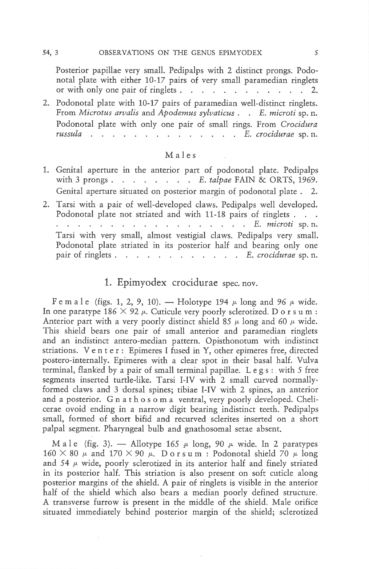54, 3

Posterior papillae very small. Pedipalps with 2 distinct prongs. Podo-<br>notal plate with either 10-17 pairs of very small paramedian ringlets or with only one pair of ringlets  $\cdots$   $\cdots$   $\cdots$   $\cdots$   $\cdots$   $\cdots$  2.

2. Podonotal plate with 10-17 pairs of paramedian well-distinct ringlets. From Microtus arvalis and Apodemus sylvaticus . . E. microti sp. n. Podonotal plate with only one pair of small rings. From Crocidura russula . . . . . . . . . . . . . E. crocidurae sp. n.

## Maies

1. Genital aperture in the anterior part of podonotal plate. Pedipalps with 3 prongs.  $\ldots$   $\ldots$   $\ldots$   $\ldots$   $\ldots$   $\ldots$   $\ldots$   $\ldots$   $\ldots$   $\ldots$   $\ldots$   $\ldots$   $\ldots$   $\ldots$   $\ldots$   $\ldots$   $\ldots$   $\ldots$   $\ldots$   $\ldots$   $\ldots$   $\ldots$   $\ldots$   $\ldots$   $\ldots$   $\ldots$   $\ldots$   $\ldots$   $\ldots$   $\ldots$   $\ldots$   $\ldots$   $\ldots$   $\ldots$   $\$ Genital aperture situated on posterior margin of podonotal plate . 2. 2. Tarsi with <sup>a</sup> pair of well-developed claws. Pedipalps well developed. Podonotal plate not striated and with 11-18 pairs of ringlets . . . E. microti sp. n. Tarsi with very small, almost vestigial claws. Pedipalps very small. Podonotal plate striated in its posterior half and bearing only one pair of ringlets  $\ldots$  . . . . . . . . . E. crocidurae sp. n.

# 1. Epimyodex crocidurae spec. nov.

F e m a l e (figs. 1, 2, 9, 10). — Holotype 194  $\mu$  long and 96  $\mu$  wide. In one paratype  $186 \times 92 \mu$ . Cuticule very poorly sclerotized. D o r s u m : Anterior part with a very poorly distinct shield 85  $\mu$  long and 60  $\mu$  wide. This shield bears one pair of small anterior and paramedian ringlets and an indistinct antero-median pattern. Opisthonotum with indistinct striations. Venter: Epimeres <sup>I</sup> fused in Y, other epimeres free, directed postero-internally. Epimeres with a clear spot in their basai half. Vulva terminal, flanked by a pair of small terminal papillae. Legs: with 5 free segments inserted turtle-like. Tarsi I-IV with 2 small curved normallyformed claws and <sup>3</sup> dorsal spines; tibiae I-IV with 2 spines, an anterior cerae ovoid ending in a narrow digit bearing indistinct teeth. Pedipalps small, formed of short bifid and recurved sclerites inserted on <sup>a</sup> short palpai segment. Pharyngeal bulb and gnathosomal setae absent.

Male (fig. 3). — Allotype 165  $\mu$  long, 90  $\mu$  wide. In 2 paratypes  $160 \times 80$   $\mu$  and  $170 \times 90$   $\mu$ . Dorsum: Podonotal shield 70  $\mu$  long and 54  $\mu$  wide, poorly sclerotized in its anterior half and finely striated in its posterior half. This striation is also present on soft cuticle along posterior margins of the shield. A pair of ringlets is visible in the anterior half of the shield which also bears a median poorly defined structure. A transverse furrow is present in the middle of the shield. Maie orifice situated immediately behind posterior margin of the shield; sclerotized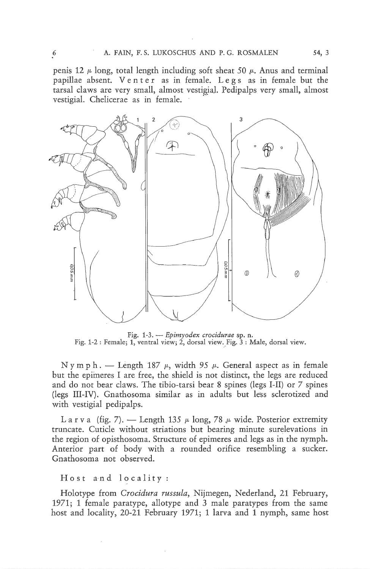penis 12  $\mu$  long, total length including soft sheat 50  $\mu$ . Anus and terminal papillae absent. Venter as in female. Legs as in female but the tarsal claws are very small, almost vestigial. Pedipalps very small, almost vestigial. Chelicerae as in female.



Fig. 1-3. - Epimyodex crocidurae sp. n. Fig. 1-2 : Female; 1, ventral view; 2, dorsal view. Fig. 3 : Maie, dorsal view.

Nymph. — Length 187  $\mu$ , width 95  $\mu$ . General aspect as in female but the epimeres I are free, the shield is not distinct, the legs are reduced and do not bear claws. The tibio-tarsi bear <sup>8</sup> spines (legs I-II) or <sup>7</sup> spines (legs III-IV). Gnathosoma similar as in adults but less sclerotized and with vestigial pedipalps.

L a r v a (fig. 7). — Length 135  $\mu$  long, 78  $\mu$  wide. Posterior extremity truncate. Cuticle without striations but bearing minute surelevations in the region of opisthosoma. Structure of epimeres and legs as in the nymph. Anterior part of body with <sup>a</sup> rounded orifice resembling <sup>a</sup> sucker. Gnathosoma not observed.

#### Host and locality:

Holotype from Crocidura russula, Nijmegen, Nederland, 21 February, 1971; <sup>1</sup> female paratype, allotype and 3 male paratypes from the same host and locality, 20-21 February 1971; <sup>1</sup> larva and <sup>1</sup> nymph, same host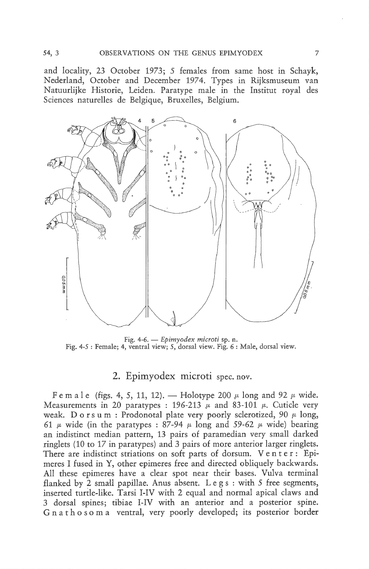and locality, 23 October 1973; <sup>5</sup> females from same host in Schayk, Nederland, October and December 1974. Types in Rijksmuseum van Natuurlijke Historie, Leiden. Paratype male in the Institut royal des Sciences naturelles de Belgique, Bruxelles, Belgium.



Fig. 4-6. - Epimyodex microti sp. n. Fig. 4-5 : Female; 4, ventral view; 5, dorsal view. Fig. 6 : Male, dorsal view.

# 2. Epimyodex microti spec. nov.

F e m a l e (figs. 4, 5, 11, 12). — Holotype 200  $\mu$  long and 92  $\mu$  wide. Measurements in 20 paratypes : 196-213  $\mu$  and 83-101  $\mu$ . Cuticle very weak. D o r s u m : Prodonotal plate very poorly sclerotized, 90  $\mu$  long, 61  $\mu$  wide (in the paratypes : 87-94  $\mu$  long and 59-62  $\mu$  wide) bearing an indistinct median pattern, 13 pairs of paramedian very small darked ringlets (10 to 17 in paratypes) and 3 pairs of more anterior larger ringlets.<br>There are indistinct striations on soft parts of dorsum. Venter: Epimeres I fused in Y, other epimeres free and directed obliquely backwards. All these epimeres have <sup>a</sup> clear spot near their bases. Vulva terminal flanked by <sup>2</sup> small papillae. Anus absent. Legs: with <sup>5</sup> free segments, inserted turtle-like. Tarsi I-IV with <sup>2</sup> equal and normal apical claws and <sup>3</sup> dorsal spines; tibiae I-IV with an anterior and <sup>a</sup> posterior spine. Gnathosoma ventral, very poorly developed; its posterior border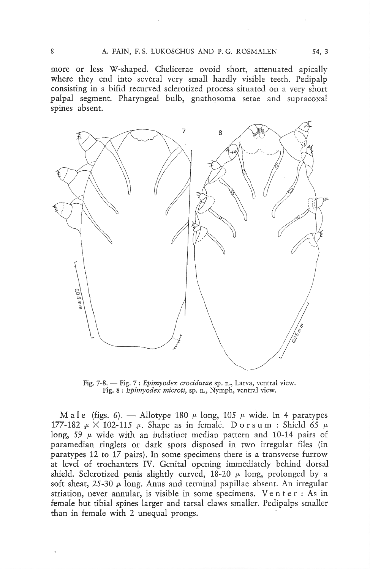more or less W-shaped. Chelicerae ovoid short, attenuated apically where they end into several very small hardly visible teeth. Pedipalp consisting in <sup>a</sup> bifid recurved sclerotized process situated on <sup>a</sup> very short palpai segment. Pharyngeal bulb, gnathosoma setae and supracoxal spines absent.



Fig. 7-8. - Fig. 7: Epimyodex crocidurae sp. n., Larva, ventral view. Fig. 8 : Epimyodex microti, sp. n., Nymph, ventral view.

Male (figs. 6). — Allotype 180  $\mu$  long, 105  $\mu$  wide. In 4 paratypes 177-182  $\mu$  × 102-115  $\mu$ . Shape as in female. Dorsum : Shield 65  $\mu$ long, 59  $\mu$  wide with an indistinct median pattern and 10-14 pairs of paramedian ringlets or dark spots disposed in two irregular files (in paratypes 12 to 17 pairs). In some specimens there is a transverse furrow at level of trochanters IV. Genital opening immediately behind dorsal shield. Sclerotized penis slightly curved,  $18-20$   $\mu$  long, prolonged by a soft sheat,  $25-30 \mu$  long. Anus and terminal papillae absent. An irregular striation, never annular, is visible in some specimens. Venter : As in female but tibial spines larger and tarsal claws smaller. Pedipalps smaller than in female with <sup>2</sup> unequal prongs.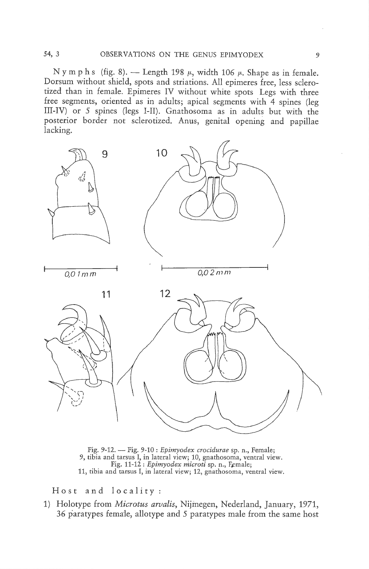N y m p h s (fig. 8). — Length 198  $\mu$ , width 106  $\mu$ . Shape as in female. Dorsum without shield, spots and striations. Ail epimeres free, less sclerotized than in female. Epimeres IV without white spots Legs with three free segments, oriented as in adults; apical segments with <sup>4</sup> spines (leg III-IV) or 5 spines (legs I-II). Gnathosoma as in adults but with the posterior border not sclerotized. Anus, genital opening and papillae lacking.



Fig. 9-12. — Fig. 9-10 : Epimyodex crocidurae sp. n., Female; 9, tibia and tarsus I, in latéral view; 10, gnathosoma, ventral view. Fig. 11-12 : Epimyodex microti sp. n., Female; 11, tibia and tarsus I, in latéral view; 12, gnathosoma, ventral view.

Host and locality:

1) Holotype from Microtus arvalis, Nijmegen, Nederland, January, 1971, 36 paratypes female, allotype and 5 paratypes male from the same host